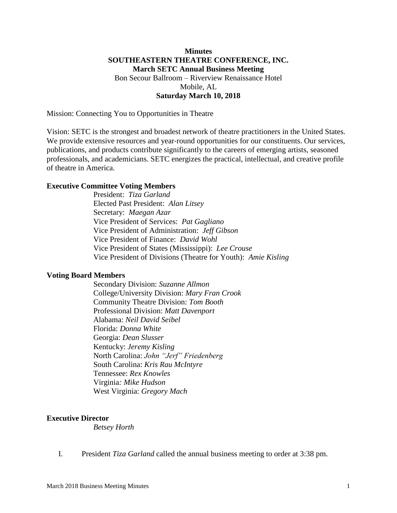## **Minutes SOUTHEASTERN THEATRE CONFERENCE, INC. March SETC Annual Business Meeting** Bon Secour Ballroom – Riverview Renaissance Hotel Mobile, AL **Saturday March 10, 2018**

Mission: Connecting You to Opportunities in Theatre

Vision: SETC is the strongest and broadest network of theatre practitioners in the United States. We provide extensive resources and year-round opportunities for our constituents. Our services, publications, and products contribute significantly to the careers of emerging artists, seasoned professionals, and academicians. SETC energizes the practical, intellectual, and creative profile of theatre in America.

### **Executive Committee Voting Members**

President: *Tiza Garland*  Elected Past President: *Alan Litsey* Secretary: *Maegan Azar* Vice President of Services: *Pat Gagliano*  Vice President of Administration: *Jeff Gibson* Vice President of Finance: *David Wohl*  Vice President of States (Mississippi): *Lee Crouse*  Vice President of Divisions (Theatre for Youth): *Amie Kisling*

#### **Voting Board Members**

Secondary Division: *Suzanne Allmon* College/University Division: *Mary Fran Crook* Community Theatre Division: *Tom Booth* Professional Division: *Matt Davenport* Alabama: *Neil David Seibel* Florida: *Donna White* Georgia: *Dean Slusser* Kentucky: *Jeremy Kisling* North Carolina: *John "Jerf" Friedenberg* South Carolina: *Kris Rau McIntyre* Tennessee: *Rex Knowles* Virginia*: Mike Hudson* West Virginia: *Gregory Mach*

#### **Executive Director**

*Betsey Horth* 

I. President *Tiza Garland* called the annual business meeting to order at 3:38 pm.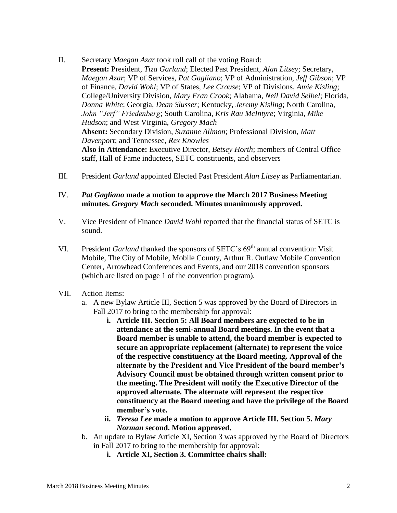- II. Secretary *Maegan Azar* took roll call of the voting Board: **Present:** President, *Tiza Garland*; Elected Past President, *Alan Litsey*; Secretary, *Maegan Azar*; VP of Services, *Pat Gagliano*; VP of Administration, *Jeff Gibson*; VP of Finance, *David Wohl*; VP of States, *Lee Crouse*; VP of Divisions, *Amie Kisling*; College/University Division, *Mary Fran Crook*; Alabama, *Neil David Seibel*; Florida, *Donna White*; Georgia, *Dean Slusser*; Kentucky, *Jeremy Kisling*; North Carolina, *John "Jerf" Friedenberg*; South Carolina, *Kris Rau McIntyre*; Virginia, *Mike Hudson*; and West Virginia, *Gregory Mach* **Absent:** Secondary Division, *Suzanne Allmon*; Professional Division, *Matt Davenport*; and Tennessee, *Rex Knowles* **Also in Attendance:** Executive Director, *Betsey Horth*; members of Central Office staff, Hall of Fame inductees, SETC constituents, and observers
- III. President *Garland* appointed Elected Past President *Alan Litsey* as Parliamentarian.
- IV. *Pat Gagliano* **made a motion to approve the March 2017 Business Meeting minutes.** *Gregory Mach* **seconded. Minutes unanimously approved.**
- V. Vice President of Finance *David Wohl* reported that the financial status of SETC is sound.
- VI. President *Garland* thanked the sponsors of SETC's 69th annual convention: Visit Mobile, The City of Mobile, Mobile County, Arthur R. Outlaw Mobile Convention Center, Arrowhead Conferences and Events, and our 2018 convention sponsors (which are listed on page 1 of the convention program).
- VII. Action Items:
	- a. A new Bylaw Article III, Section 5 was approved by the Board of Directors in Fall 2017 to bring to the membership for approval:
		- **i. Article III. Section 5: All Board members are expected to be in attendance at the semi-annual Board meetings. In the event that a Board member is unable to attend, the board member is expected to secure an appropriate replacement (alternate) to represent the voice of the respective constituency at the Board meeting. Approval of the alternate by the President and Vice President of the board member's Advisory Council must be obtained through written consent prior to the meeting. The President will notify the Executive Director of the approved alternate. The alternate will represent the respective constituency at the Board meeting and have the privilege of the Board member's vote.**
		- **ii.** *Teresa Lee* **made a motion to approve Article III. Section 5.** *Mary Norman* **second. Motion approved.**
	- b. An update to Bylaw Article XI, Section 3 was approved by the Board of Directors in Fall 2017 to bring to the membership for approval:
		- **i. Article XI, Section 3. Committee chairs shall:**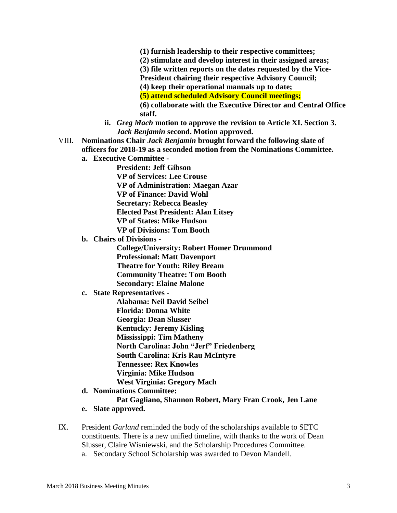- **(1) furnish leadership to their respective committees;**
- **(2) stimulate and develop interest in their assigned areas;**
- **(3) file written reports on the dates requested by the Vice-**
- **President chairing their respective Advisory Council;**
- **(4) keep their operational manuals up to date;**
- **(5) attend scheduled Advisory Council meetings;**
- **(6) collaborate with the Executive Director and Central Office staff.**
- **ii.** *Greg Mach* **motion to approve the revision to Article XI. Section 3.**  *Jack Benjamin* **second. Motion approved.**
- VIII. **Nominations Chair** *Jack Benjamin* **brought forward the following slate of officers for 2018-19 as a seconded motion from the Nominations Committee. a. Executive Committee -**
	-

**President: Jeff Gibson VP of Services: Lee Crouse VP of Administration: Maegan Azar VP of Finance: David Wohl Secretary: Rebecca Beasley Elected Past President: Alan Litsey VP of States: Mike Hudson VP of Divisions: Tom Booth**

**b. Chairs of Divisions -**

**College/University: Robert Homer Drummond Professional: Matt Davenport Theatre for Youth: Riley Bream Community Theatre: Tom Booth Secondary: Elaine Malone**

# **c. State Representatives -**

**Alabama: Neil David Seibel Florida: Donna White Georgia: Dean Slusser Kentucky: Jeremy Kisling Mississippi: Tim Matheny North Carolina: John "Jerf" Friedenberg South Carolina: Kris Rau McIntyre Tennessee: Rex Knowles Virginia: Mike Hudson West Virginia: Gregory Mach**

**d. Nominations Committee:** 

### **Pat Gagliano, Shannon Robert, Mary Fran Crook, Jen Lane**

- **e. Slate approved.**
- IX. President *Garland* reminded the body of the scholarships available to SETC constituents. There is a new unified timeline, with thanks to the work of Dean Slusser, Claire Wisniewski, and the Scholarship Procedures Committee.
	- a. Secondary School Scholarship was awarded to Devon Mandell.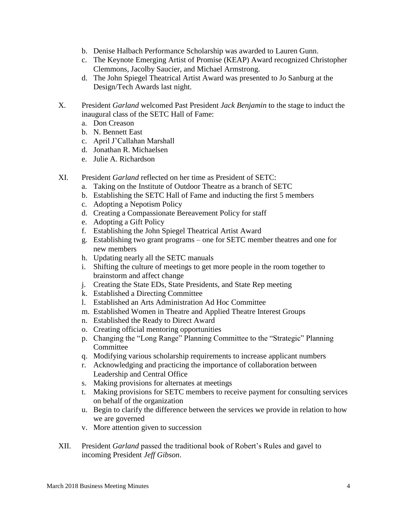- b. Denise Halbach Performance Scholarship was awarded to Lauren Gunn.
- c. The Keynote Emerging Artist of Promise (KEAP) Award recognized Christopher Clemmons, Jacolby Saucier, and Michael Armstrong.
- d. The John Spiegel Theatrical Artist Award was presented to Jo Sanburg at the Design/Tech Awards last night.
- X. President *Garland* welcomed Past President *Jack Benjamin* to the stage to induct the inaugural class of the SETC Hall of Fame:
	- a. Don Creason
	- b. N. Bennett East
	- c. April J'Callahan Marshall
	- d. Jonathan R. Michaelsen
	- e. Julie A. Richardson
- XI. President *Garland* reflected on her time as President of SETC:
	- a. Taking on the Institute of Outdoor Theatre as a branch of SETC
	- b. Establishing the SETC Hall of Fame and inducting the first 5 members
	- c. Adopting a Nepotism Policy
	- d. Creating a Compassionate Bereavement Policy for staff
	- e. Adopting a Gift Policy
	- f. Establishing the John Spiegel Theatrical Artist Award
	- g. Establishing two grant programs one for SETC member theatres and one for new members
	- h. Updating nearly all the SETC manuals
	- i. Shifting the culture of meetings to get more people in the room together to brainstorm and affect change
	- j. Creating the State EDs, State Presidents, and State Rep meeting
	- k. Established a Directing Committee
	- l. Established an Arts Administration Ad Hoc Committee
	- m. Established Women in Theatre and Applied Theatre Interest Groups
	- n. Established the Ready to Direct Award
	- o. Creating official mentoring opportunities
	- p. Changing the "Long Range" Planning Committee to the "Strategic" Planning **Committee**
	- q. Modifying various scholarship requirements to increase applicant numbers
	- r. Acknowledging and practicing the importance of collaboration between Leadership and Central Office
	- s. Making provisions for alternates at meetings
	- t. Making provisions for SETC members to receive payment for consulting services on behalf of the organization
	- u. Begin to clarify the difference between the services we provide in relation to how we are governed
	- v. More attention given to succession
- XII. President *Garland* passed the traditional book of Robert's Rules and gavel to incoming President *Jeff Gibson*.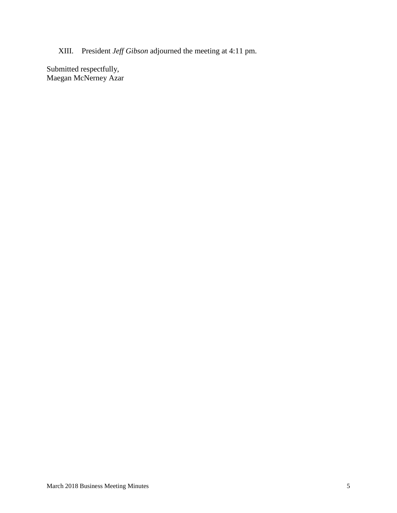XIII. President *Jeff Gibson* adjourned the meeting at 4:11 pm.

Submitted respectfully, Maegan McNerney Azar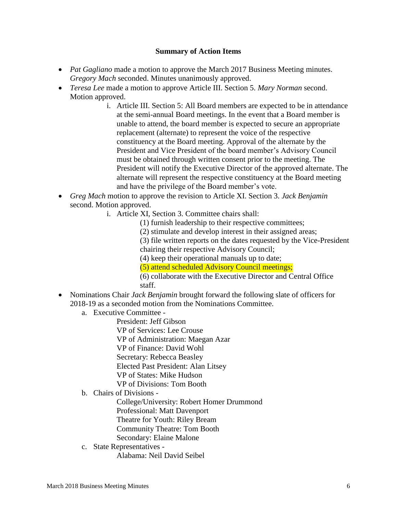## **Summary of Action Items**

- *Pat Gagliano* made a motion to approve the March 2017 Business Meeting minutes. *Gregory Mach* seconded. Minutes unanimously approved.
- *Teresa Lee* made a motion to approve Article III. Section 5. *Mary Norman* second. Motion approved.
	- i. Article III. Section 5: All Board members are expected to be in attendance at the semi-annual Board meetings. In the event that a Board member is unable to attend, the board member is expected to secure an appropriate replacement (alternate) to represent the voice of the respective constituency at the Board meeting. Approval of the alternate by the President and Vice President of the board member's Advisory Council must be obtained through written consent prior to the meeting. The President will notify the Executive Director of the approved alternate. The alternate will represent the respective constituency at the Board meeting and have the privilege of the Board member's vote.
- *Greg Mach* motion to approve the revision to Article XI. Section 3. *Jack Benjamin* second. Motion approved.
	- i. Article XI, Section 3. Committee chairs shall:
		- (1) furnish leadership to their respective committees;
		- (2) stimulate and develop interest in their assigned areas;

(3) file written reports on the dates requested by the Vice-President chairing their respective Advisory Council;

- (4) keep their operational manuals up to date;
- (5) attend scheduled Advisory Council meetings;
- (6) collaborate with the Executive Director and Central Office staff.
- Nominations Chair *Jack Benjamin* brought forward the following slate of officers for 2018-19 as a seconded motion from the Nominations Committee.
	- a. Executive Committee -

President: Jeff Gibson VP of Services: Lee Crouse VP of Administration: Maegan Azar VP of Finance: David Wohl Secretary: Rebecca Beasley Elected Past President: Alan Litsey VP of States: Mike Hudson VP of Divisions: Tom Booth

b. Chairs of Divisions -

College/University: Robert Homer Drummond Professional: Matt Davenport Theatre for Youth: Riley Bream Community Theatre: Tom Booth Secondary: Elaine Malone

c. State Representatives - Alabama: Neil David Seibel